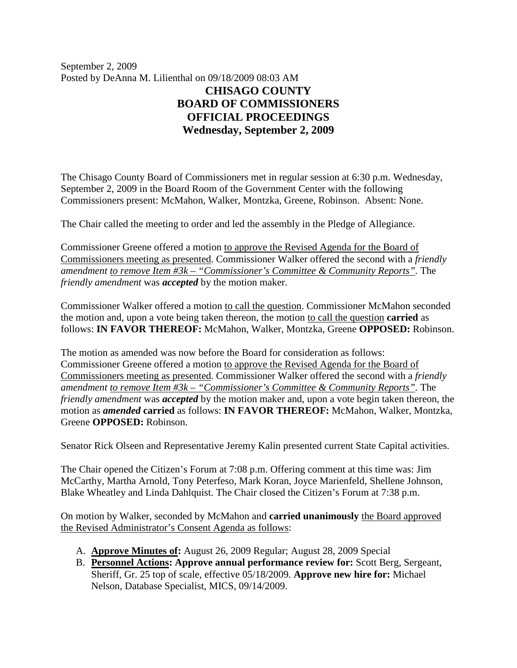September 2, 2009 Posted by DeAnna M. Lilienthal on 09/18/2009 08:03 AM **CHISAGO COUNTY BOARD OF COMMISSIONERS OFFICIAL PROCEEDINGS Wednesday, September 2, 2009**

The Chisago County Board of Commissioners met in regular session at 6:30 p.m. Wednesday, September 2, 2009 in the Board Room of the Government Center with the following Commissioners present: McMahon, Walker, Montzka, Greene, Robinson. Absent: None.

The Chair called the meeting to order and led the assembly in the Pledge of Allegiance.

Commissioner Greene offered a motion to approve the Revised Agenda for the Board of Commissioners meeting as presented. Commissioner Walker offered the second with a *friendly amendment to remove Item #3k – "Commissioner's Committee & Community Reports".* The *friendly amendment* was *accepted* by the motion maker.

Commissioner Walker offered a motion to call the question. Commissioner McMahon seconded the motion and, upon a vote being taken thereon, the motion to call the question **carried** as follows: **IN FAVOR THEREOF:** McMahon, Walker, Montzka, Greene **OPPOSED:** Robinson.

The motion as amended was now before the Board for consideration as follows: Commissioner Greene offered a motion to approve the Revised Agenda for the Board of Commissioners meeting as presented. Commissioner Walker offered the second with a *friendly amendment to remove Item #3k – "Commissioner's Committee & Community Reports".* The *friendly amendment* was *accepted* by the motion maker and, upon a vote begin taken thereon, the motion as *amended* **carried** as follows: **IN FAVOR THEREOF:** McMahon, Walker, Montzka, Greene **OPPOSED:** Robinson.

Senator Rick Olseen and Representative Jeremy Kalin presented current State Capital activities.

The Chair opened the Citizen's Forum at 7:08 p.m. Offering comment at this time was: Jim McCarthy, Martha Arnold, Tony Peterfeso, Mark Koran, Joyce Marienfeld, Shellene Johnson, Blake Wheatley and Linda Dahlquist. The Chair closed the Citizen's Forum at 7:38 p.m.

On motion by Walker, seconded by McMahon and **carried unanimously** the Board approved the Revised Administrator's Consent Agenda as follows:

- A. **Approve Minutes of:** August 26, 2009 Regular; August 28, 2009 Special
- B. **Personnel Actions: Approve annual performance review for:** Scott Berg, Sergeant, Sheriff, Gr. 25 top of scale, effective 05/18/2009. **Approve new hire for:** Michael Nelson, Database Specialist, MICS, 09/14/2009.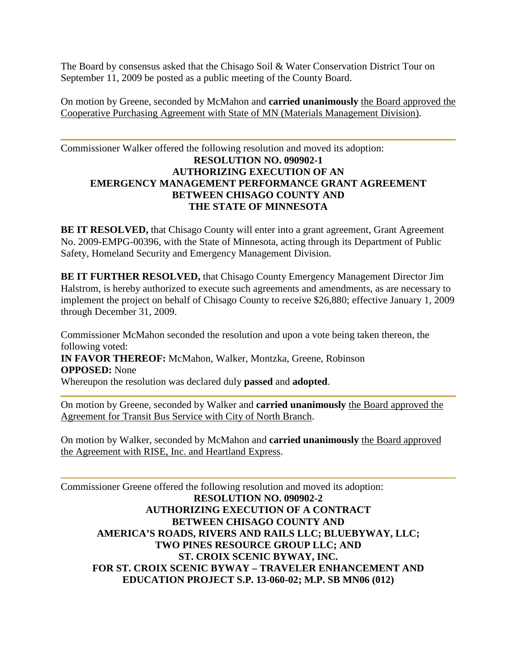The Board by consensus asked that the Chisago Soil & Water Conservation District Tour on September 11, 2009 be posted as a public meeting of the County Board.

On motion by Greene, seconded by McMahon and **carried unanimously** the Board approved the Cooperative Purchasing Agreement with State of MN (Materials Management Division).

## Commissioner Walker offered the following resolution and moved its adoption: **RESOLUTION NO. 090902-1 AUTHORIZING EXECUTION OF AN EMERGENCY MANAGEMENT PERFORMANCE GRANT AGREEMENT BETWEEN CHISAGO COUNTY AND THE STATE OF MINNESOTA**

**BE IT RESOLVED,** that Chisago County will enter into a grant agreement, Grant Agreement No. 2009-EMPG-00396, with the State of Minnesota, acting through its Department of Public Safety, Homeland Security and Emergency Management Division.

**BE IT FURTHER RESOLVED,** that Chisago County Emergency Management Director Jim Halstrom, is hereby authorized to execute such agreements and amendments, as are necessary to implement the project on behalf of Chisago County to receive \$26,880; effective January 1, 2009 through December 31, 2009.

Commissioner McMahon seconded the resolution and upon a vote being taken thereon, the following voted: **IN FAVOR THEREOF:** McMahon, Walker, Montzka, Greene, Robinson **OPPOSED:** None

Whereupon the resolution was declared duly **passed** and **adopted**.

On motion by Greene, seconded by Walker and **carried unanimously** the Board approved the Agreement for Transit Bus Service with City of North Branch.

On motion by Walker, seconded by McMahon and **carried unanimously** the Board approved the Agreement with RISE, Inc. and Heartland Express.

Commissioner Greene offered the following resolution and moved its adoption: **RESOLUTION NO. 090902-2 AUTHORIZING EXECUTION OF A CONTRACT BETWEEN CHISAGO COUNTY AND AMERICA'S ROADS, RIVERS AND RAILS LLC; BLUEBYWAY, LLC; TWO PINES RESOURCE GROUP LLC; AND ST. CROIX SCENIC BYWAY, INC. FOR ST. CROIX SCENIC BYWAY – TRAVELER ENHANCEMENT AND EDUCATION PROJECT S.P. 13-060-02; M.P. SB MN06 (012)**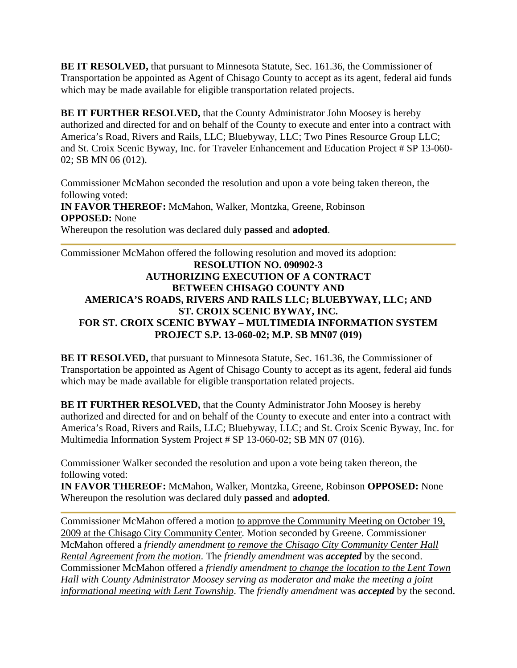**BE IT RESOLVED,** that pursuant to Minnesota Statute, Sec. 161.36, the Commissioner of Transportation be appointed as Agent of Chisago County to accept as its agent, federal aid funds which may be made available for eligible transportation related projects.

**BE IT FURTHER RESOLVED,** that the County Administrator John Moosey is hereby authorized and directed for and on behalf of the County to execute and enter into a contract with America's Road, Rivers and Rails, LLC; Bluebyway, LLC; Two Pines Resource Group LLC; and St. Croix Scenic Byway, Inc. for Traveler Enhancement and Education Project # SP 13-060- 02; SB MN 06 (012).

Commissioner McMahon seconded the resolution and upon a vote being taken thereon, the following voted: **IN FAVOR THEREOF:** McMahon, Walker, Montzka, Greene, Robinson **OPPOSED:** None Whereupon the resolution was declared duly **passed** and **adopted**.

Commissioner McMahon offered the following resolution and moved its adoption:

## **RESOLUTION NO. 090902-3 AUTHORIZING EXECUTION OF A CONTRACT BETWEEN CHISAGO COUNTY AND AMERICA'S ROADS, RIVERS AND RAILS LLC; BLUEBYWAY, LLC; AND ST. CROIX SCENIC BYWAY, INC. FOR ST. CROIX SCENIC BYWAY – MULTIMEDIA INFORMATION SYSTEM PROJECT S.P. 13-060-02; M.P. SB MN07 (019)**

**BE IT RESOLVED,** that pursuant to Minnesota Statute, Sec. 161.36, the Commissioner of Transportation be appointed as Agent of Chisago County to accept as its agent, federal aid funds which may be made available for eligible transportation related projects.

**BE IT FURTHER RESOLVED,** that the County Administrator John Moosey is hereby authorized and directed for and on behalf of the County to execute and enter into a contract with America's Road, Rivers and Rails, LLC; Bluebyway, LLC; and St. Croix Scenic Byway, Inc. for Multimedia Information System Project # SP 13-060-02; SB MN 07 (016).

Commissioner Walker seconded the resolution and upon a vote being taken thereon, the following voted:

**IN FAVOR THEREOF:** McMahon, Walker, Montzka, Greene, Robinson **OPPOSED:** None Whereupon the resolution was declared duly **passed** and **adopted**.

Commissioner McMahon offered a motion to approve the Community Meeting on October 19, 2009 at the Chisago City Community Center. Motion seconded by Greene. Commissioner McMahon offered a *friendly amendment to remove the Chisago City Community Center Hall Rental Agreement from the motion*. The *friendly amendment* was *accepted* by the second. Commissioner McMahon offered a *friendly amendment to change the location to the Lent Town Hall with County Administrator Moosey serving as moderator and make the meeting a joint informational meeting with Lent Township*. The *friendly amendment* was *accepted* by the second.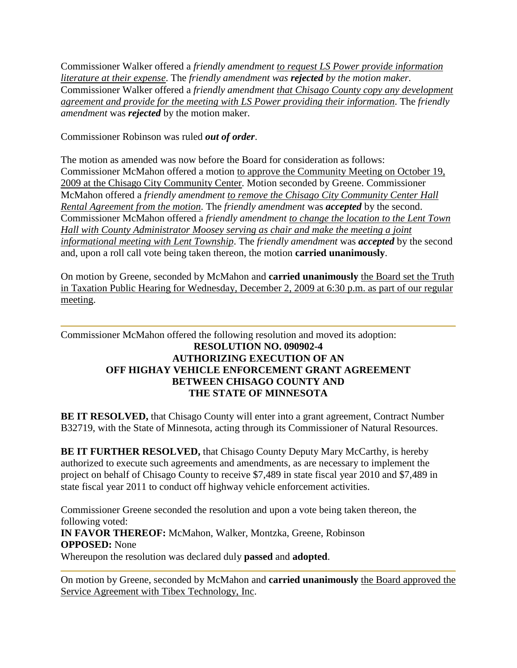Commissioner Walker offered a *friendly amendment to request LS Power provide information literature at their expense*. The *friendly amendment was rejected by the motion maker.*  Commissioner Walker offered a *friendly amendment that Chisago County copy any development agreement and provide for the meeting with LS Power providing their information*. The *friendly amendment* was *rejected* by the motion maker.

Commissioner Robinson was ruled *out of order*.

The motion as amended was now before the Board for consideration as follows: Commissioner McMahon offered a motion to approve the Community Meeting on October 19, 2009 at the Chisago City Community Center. Motion seconded by Greene. Commissioner McMahon offered a *friendly amendment to remove the Chisago City Community Center Hall Rental Agreement from the motion*. The *friendly amendment* was *accepted* by the second. Commissioner McMahon offered a *friendly amendment to change the location to the Lent Town Hall with County Administrator Moosey serving as chair and make the meeting a joint informational meeting with Lent Township*. The *friendly amendment* was *accepted* by the second and, upon a roll call vote being taken thereon, the motion **carried unanimously**.

On motion by Greene, seconded by McMahon and **carried unanimously** the Board set the Truth in Taxation Public Hearing for Wednesday, December 2, 2009 at 6:30 p.m. as part of our regular meeting.

## Commissioner McMahon offered the following resolution and moved its adoption: **RESOLUTION NO. 090902-4 AUTHORIZING EXECUTION OF AN OFF HIGHAY VEHICLE ENFORCEMENT GRANT AGREEMENT BETWEEN CHISAGO COUNTY AND THE STATE OF MINNESOTA**

**BE IT RESOLVED,** that Chisago County will enter into a grant agreement, Contract Number B32719, with the State of Minnesota, acting through its Commissioner of Natural Resources.

**BE IT FURTHER RESOLVED,** that Chisago County Deputy Mary McCarthy, is hereby authorized to execute such agreements and amendments, as are necessary to implement the project on behalf of Chisago County to receive \$7,489 in state fiscal year 2010 and \$7,489 in state fiscal year 2011 to conduct off highway vehicle enforcement activities.

Commissioner Greene seconded the resolution and upon a vote being taken thereon, the following voted:

**IN FAVOR THEREOF:** McMahon, Walker, Montzka, Greene, Robinson **OPPOSED:** None

Whereupon the resolution was declared duly **passed** and **adopted**.

On motion by Greene, seconded by McMahon and **carried unanimously** the Board approved the Service Agreement with Tibex Technology, Inc.